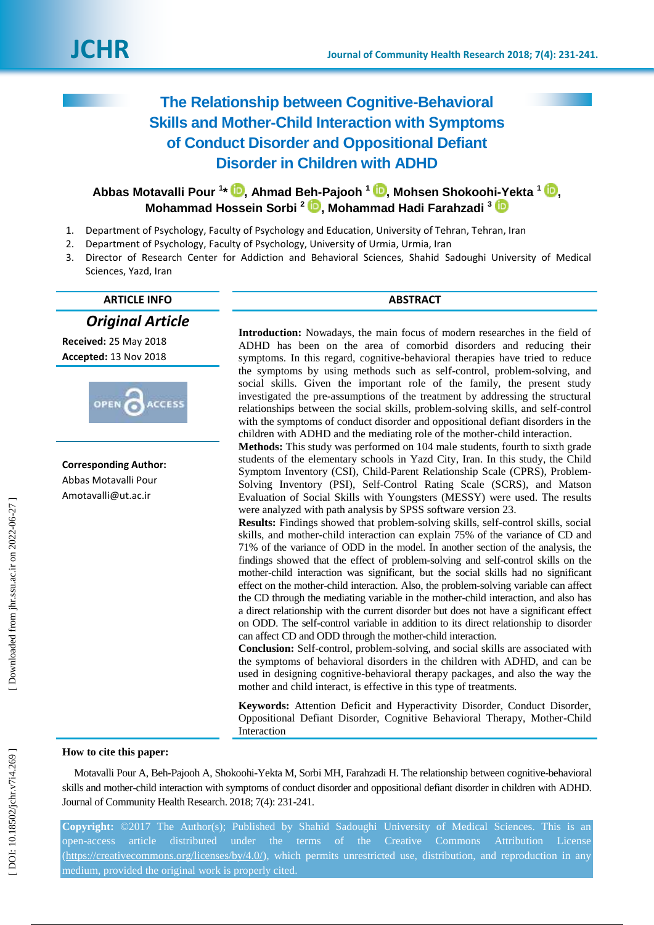# **The Relationship between Cognitive -Behavioral Skills and Mother -Child Interaction with Symptoms of Conduct Disorder and Oppositional Defiant Disorder in Children with ADHD**

## **Abbas Motavalli Pour 1 \* [,](https://orcid.org/0000-0001-8313-9689) Ahmad Beh -Pajooh 1 [,](https://orcid.org/0000-0002-0843-8942) Mohsen Shokoohi -Yekta 1 [,](https://orcid.org/0000-0002-5055-9270) Mohammad Hossein Sorbi 2 , Mohammad Hadi Farahzadi 3**

- 1. Department of Psychology, Faculty of Psychology and Education, University of Tehran, Tehran, Iran
- 2. Department of Psychology, Faculty of Psychology, University of Urmia, Urmia, Iran
- 3. Director of Research Center for Addiction and Behavioral Sciences, Shahid Sadoughi University of Medical Sciences, Yazd, Iran

## **ARTICLE INFO ABSTRACT**

*Original Article*

**Received:** 25 May 2018 **Accepted:** 13 Nov 2018



**Corresponding Author:** Abbas Motavalli Pour Amotavalli @ut.ac.ir

**Introduction :** Nowadays, the main focus of modern researches in the field of ADHD has been on the area of comorbid disorders and reducing their symptoms. In this regard, cognitive -behavioral therapies have tried to reduce the symptoms by using methods such as self -control, problem -solving, and social skills. Given the important role of the family, the present study investigated the pre -assumptions of the treatment by addressing the structural relationships between the social skills, problem -solving skills, and self-control with the symptoms of conduct disorder and oppositional defiant disorders in the children with ADHD and the mediating role of the mother -child interaction.

**Methods:** This study was performed on 104 male students, fourth to sixth grade students of the elementary school s in Yazd City, Iran. In this study, the Child Symptom Inventory (CSI), Child -Parent Relationship Scale (CPRS), Problem - Solving Inventory (PSI), Self-Control Rating Scale (SCRS), and Matson Evaluation of Social Skills with Youngsters (MESSY) were used. The results were analyzed with path analysis by SPSS software version 23.

**Results:** Findings showed that problem -solving skills, self-control skills, social skills, and mother -child interaction can explain 75% of the variance of CD and 71% of the variance of ODD in the model. In another section of the analysis, the findings showed that the effect of problem -solving and self-control skills on the mother -child interaction was significant, but the social skills had no significant effect on the mother -child interaction. Also, the problem -solving variable can affect the CD through the mediating variable in the mother -child interaction, and also has a direct relationship with the current disorder but does not have a significant effect on ODD. The self-control variable in addition to its direct relationship to disorder can affect CD and ODD through the mother -child interaction.

**Conclusion:** Self-control, problem -solving, and social skills are associated with the symptoms of behavioral disorders in the children with ADHD, and can be used in designing cognitive -behavioral therapy packages, and also the way the mother and child interact, is effective in this type of treatments.

**Keywords:** Attention Deficit and Hyperactivity Disorder, Conduct Disorder, Oppositional Defiant Disorder, Cognitive Behavioral Therapy, Mother -Child Interaction

## **How to cite this paper:**

 Motavalli Pour A, Beh -Pajooh A, Shokoohi -Yekta M, Sorbi MH, Farahzadi H. The relationship between cognitive -behavioral skills and mother -child interaction with symptoms of conduct disorder and oppositional defiant disorder in children with ADHD. Journal of Community Health Research. 2018; 7(4): 231-241.

**Copyright:** ©2017 The Author(s); Published by Shahid Sadoughi University of Medical Sciences. This is an open-access article distributed under the terms of the Creative Commons Attribution License [\(https://creativecommons.org/licenses/by/4.0/\)](https://creativecommons.org/licenses/by/4.0/), which permits unrestricted use, distribution, and reproduction in any medium, provided the original work is properly cited.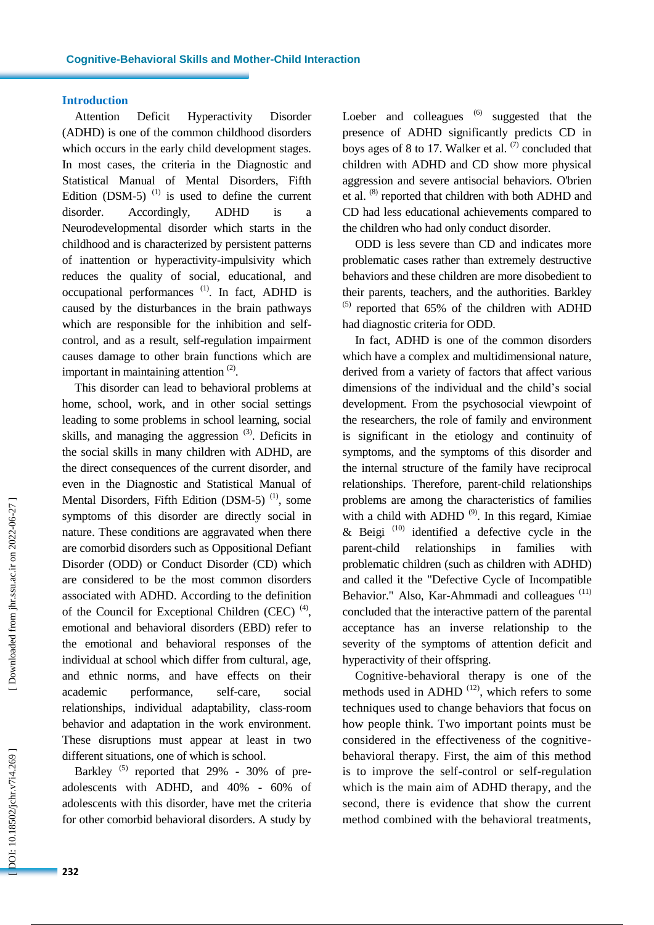## **Introductio n**

Attention Deficit Hyperactivity Disorder (ADHD) is one of the common childhood disorders which occurs in the early child development stages. In most cases, the criteria in the Diagnostic and Statistical Manual of Mental Disorders, Fifth Edition (DSM-5) $^{(1)}$  is used to define the current disorder. Accordingly, ADHD is Neurodevelopmental disorder which starts in the childhood and is characterized by persistent patterns of inattention or hyperactivity -impulsivity which reduces the quality of social, educational, and occupational performances<sup>(1)</sup>. In fact, ADHD is caused by the disturbances in the brain pathways which are responsible for the inhibition and selfcontrol, and as a result, self-regulation impairment causes damage to other brain functions which are important in maintaining attention  $(2)$ .

This disorder can lead to behavioral problems at home, school, work, and in other social settings leading to some problems in school learning, social skills, and managing the aggression  $(3)$ . Deficits in the social skills in many children with ADHD, are the direct consequences of the current disorder, and even in the Diagnostic and Statistical Manual of Mental Disorders, Fifth Edition  $(DSM-5)$ <sup>(1)</sup>, some symptoms of this disorder are directly social in nature. These conditions are aggravated when there are comorbid disorders such as Oppositional Defiant Disorder (ODD) or Conduct Disorder (CD) which are considered to be the most common disorders associated with ADHD. According to the definition of the Council for Exceptional Children (CEC)<sup> $(4)$ </sup>, emotional and behavioral disorders (EBD) refer to the emotional and behavioral responses of the individual at school which differ from cultural, age, and ethnic norms, and have effects on their academic performance, self-care, social relationships, individual adaptability, class -room behavior and adaptation in the work environment. These disruptions must appear at least in two different situations, one of which is school.

Barkley  $(5)$  reported that 29% - 30% of preadolescents with ADHD, and 40% - 60% of adolescents with this disorder, have met the criteria for other comorbid behavioral disorders. A study by

Loeber and colleagues  $(6)$  suggested that the presence of ADHD significantly predicts CD in boys ages of 8 to 17. Walker et al.  $(7)$  concluded that children with ADHD and CD show more physical aggression and severe antisocial behaviors. O'brien et al. <sup>(8)</sup> reported that children with both ADHD and CD had less educational achievements compared to the children who had only conduct disorder.

ODD is less severe than CD and indicates more problematic cases rather than extremely destructive behaviors and these children are more disobedient to their parents, teachers, and the authorities. Barkley (5) reported that 65% of the children with ADHD had diagnostic criteria for ODD.

In fact , ADHD is one of the common disorders which have a complex and multidimensional nature, derived from a variety of factors that affect various dimensions of the individual and the child's social development. From the psychosocial viewpoint of the researchers, the role of family and environment is significant in the etiology and continuity of symptoms, and the symptoms of this disorder and the internal structure of the family have reciprocal relationships. Therefore, parent -child relationships problems are among the characteristics of families with a child with ADHD  $(9)$ . In this regard, Kimiae  $\&$  Beigi<sup>(10)</sup> identified a defective cycle in the parent-child relationships in families with problematic children (such as children with ADHD) and called it the "Defective Cycle of Incompatible Behavior." Also, Kar-Ahmmadi and colleagues<sup>(11)</sup> concluded that the interactive pattern of the parental acceptance has an inverse relationship to the severity of the symptoms of attention deficit and hyperactivity of their offspring.

Cognitive -behavioral therapy is one of the methods used in ADHD<sup> $(12)$ </sup>, which refers to some techniques used to change behaviors that focus on how people think. Two important points must be considered in the effectiveness of the cognitive behavioral therapy. First, the aim of this method is to improve the self -control or self -regulation which is the main aim of ADHD therapy, and the second, there is evidence that show the current method combined with the behavioral treatments,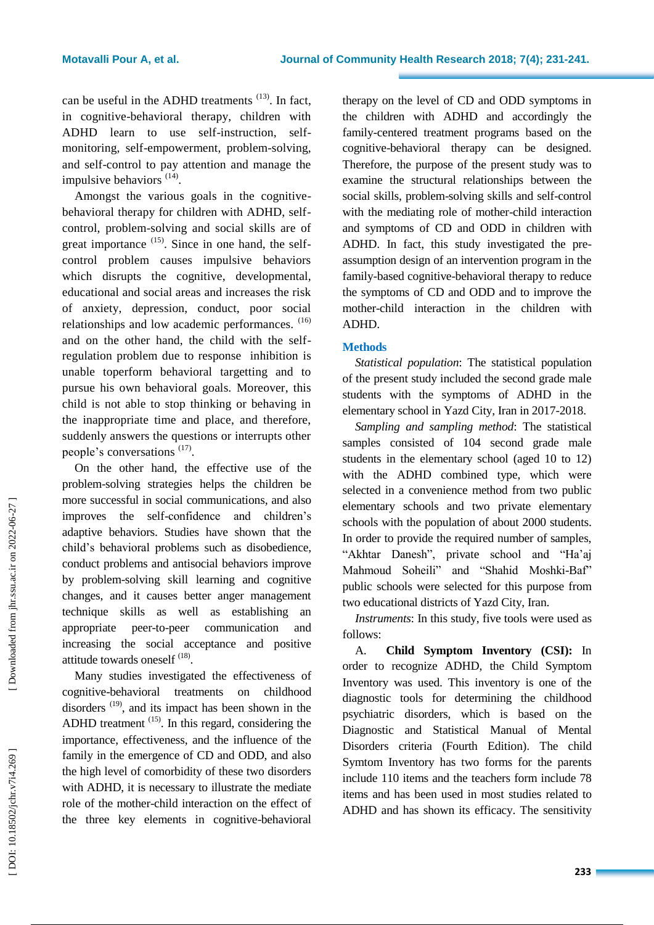can be useful in the ADHD treatments  $(13)$ . In fact, in cognitive -behavioral therapy, children with ADHD learn to use self -instruction, self monitoring, self -empowerment, problem -solving, and self -control to pay attention and manage the impulsive behaviors <sup>(14)</sup>.

Amongst the various goals in the cognitive behavioral therapy for children with ADHD, self control, problem -solving and social skills are of great importance  $(15)$ . Since in one hand, the selfcontrol problem causes impulsive behaviors which disrupts the cognitive, developmental, educational and social areas and increases the risk of anxiety, depression, conduct, poor social relationships and low academic performances. (16) and on the other hand, the child with the self regulation problem due to response inhibition is unable toperform behavioral targetting and to pursue his own behavioral goals. Moreover, this child is not able to stop thinking or behaving in the inappropriate time and place, and therefore, suddenly answers the questions or interrupts other people's conversations <sup>(17)</sup>.

On the other hand, the effective use of the problem -solving strategies helps the children be more successful in social communications, and also improves the self-confidence and children's adaptive behaviors. Studies have shown that the child's behavioral problems such as disobedience, conduct problems and antisocial behaviors improve by problem -solving skill learning and cognitive changes, and it causes better anger management technique skills as well as establishing an appropriate peer -to -peer communication and increasing the social acceptance and positive attitude towards oneself <sup>(18)</sup>.

Many studies investigated the effectiveness of cognitive -behavioral treatments on childhood disorders  $(19)$ , and its impact has been shown in the ADHD treatment  $(15)$ . In this regard, considering the importance, effectiveness, and the influence of the family in the emergence of CD and ODD, and also the high level of comorbidity of these two disorders with ADHD, it is necessary to illustrate the mediate role of the mother -child interaction on the effect of the three key elements in cognitive -behavioral therapy on the level of CD and ODD symptoms in the children with ADHD and accordingly the family -centered treatment programs based on the cognitive -behavioral therapy can be designed. Therefore, the purpose of the present study was to examine the structural relationships between the social skills, problem -solving skills and self-control with the mediating role of mother -child interaction and symptoms of CD and ODD in children with ADHD. In fact, this study investigated the pre assumption design of an intervention program in the family -based cognitive -behavioral therapy to reduce the symptoms of CD and ODD and to improve the mother -child interaction in the children with ADHD.

## **Methods**

*Statistical population*: The statistical population of the present study included the second grade male students with the symptoms of ADHD in the elementary school in Yazd City, Iran in 2017 -2018.

*Sampling and sampling method*: The statistical samples consisted of 104 second grade male students in the elementary school (aged 10 to 12) with the ADHD combined type, which were selected in a convenience method from two public elementary schools and two private elementary schools with the population of about 2000 students. In order to provide the required number of samples, "Akhtar Danesh", private school and "Ha'aj Mahmoud Soheili" and "Shahid Moshki - Baf" public schools were selected for this purpose from two educational districts of Yazd City, Iran .

*Instruments*: In this study, five tools were used as follows:

A. **Child Symptom Inventory (CSI):** In order to recognize ADHD, the Child Symptom Inventory was used. This inventory is one of the diagnostic tools for determining the childhood psychiatric disorders, which is based on the Diagnostic and Statistical Manual of Mental Disorders criteria (Fourth Edition) . The child Symtom Inventory has two forms for the parents include 110 item s and the teachers form include 78 item s and has been used in most studies related to ADHD and has shown its efficacy. The sensitivity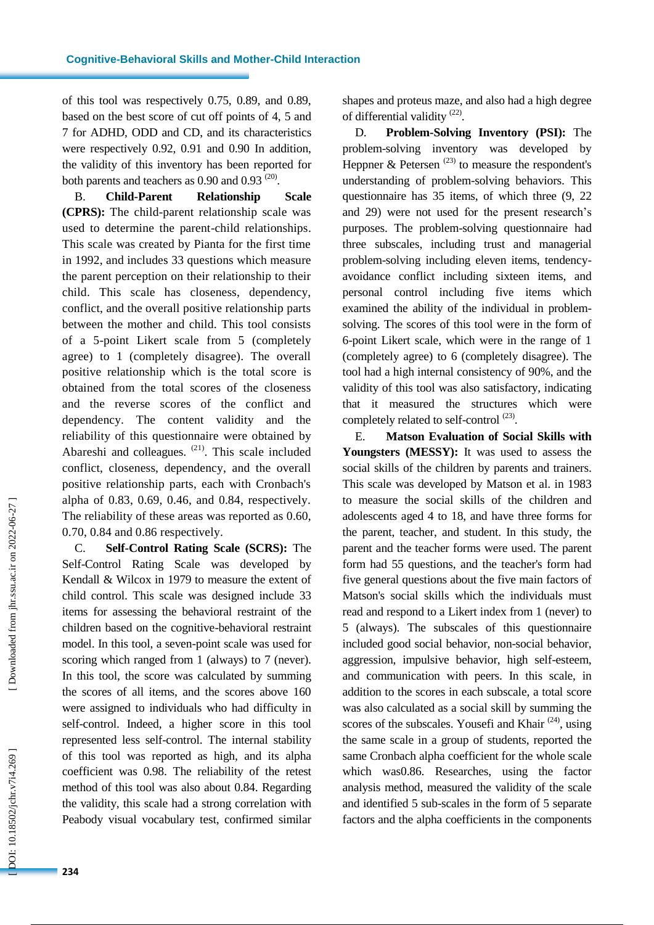of this tool was respectively 0.75, 0.89, and 0.89, based on the best score of cut off points of 4, 5 and 7 for ADHD, ODD and CD, and its characteristics were respectively 0.92, 0.91 and 0.90 In addition, the validity of this inventory has been reported for both parents and teachers as  $0.90$  and  $0.93$   $(20)$ .

B. **Child Relationship** Scale **(CPRS):** The child -parent relationship scale was used to determine the parent -child relationships. This scale was created by Pianta for the first time in 199 2 , and includes 33 questions which measure the parent perception on their relationship to their child. This scale has closeness, dependency, conflict, and the overall positive relationship parts between the mother and child. This tool consists of a 5 -point Likert scale from 5 (completely agree) to 1 (completely disagree). The overall positive relationship which is the total score is obtained from the total scores of the closeness and the reverse scores of the conflict and dependency. The content validity and the reliability of this questionnaire were obtained by Abareshi and colleagues. <sup>(21)</sup>. This scale included conflict, closeness, dependency, and the overall positive relationship parts, each with Cronbach's alpha of 0.83, 0.69, 0.46, and 0.84, respectively. The reliability of these areas was reported as 0.60, 0.70, 0.84 and 0.86 respectively .

C. **Self-Control Rating Scale (SCRS):** The Self-Control Rating Scale was developed by Kendall & Wilcox in 1979 to measure the extent of child control. This scale was designed include 33 items for assessing the behavioral restraint of the children based on the cognitive -behavioral restraint model. In this tool, a seven -point scale was used for scoring which ranged from 1 (always) to 7 (never). In this tool, the score was calculated by summing the scores of all items, and the scores above 160 were assigned to individuals who had difficulty in self-control. Indeed, a higher score in this tool represented less self-control. The internal stability of this tool was reported as high, and its alpha coefficient was 0.98. The reliability of the retest method of this tool was also about 0.84. Regarding the validity, this scale had a strong correlation with Peabody visual vocabulary test, confirmed similar shapes and proteus maze, and also had a high degree of differential validity<sup>(22)</sup>.

D. **Problem -Solving Inventory (PSI):** The problem -solving inventory was developed by Heppner  $\&$  Petersen<sup>(23)</sup> to measure the respondent's understanding of problem -solving behaviors. This questionnaire has 35 items, of which three (9, 22 and 29) were not used for the present research's purposes. The problem -solving questionnaire had three subscales, including trust and managerial problem -solving including eleven items, tendency avoidance conflict including sixteen items, and personal control including five items which examined the ability of the individual in problem solving. The scores of this tool were in the form of 6-point Likert scale, which were in the range of 1 (completely agree) to 6 (completely disagree). The tool had a high internal consistency of 90%, and the validity of this tool was also satisfactory, indicating that it measured the structures which were completely related to self-control<sup>(23)</sup>.

E. **Matson Evaluation of Social Skills with Youngsters (MESSY):** It was used to assess the social skills of the children by parents and trainers. This scale was developed by Matson et al. in 1983 to measure the social skills of the children and adolescents aged 4 to 18, and have three forms for the parent, teacher, and student. In this study, the parent and the teacher forms were used. The parent form had 55 questions, and the teacher's form had five general questions about the five main factors of Matson's social skills which the individuals must read and respond to a Likert index from 1 (never) to 5 (always). The subscales of this questionnaire included good social behavior, no n -social behavior, aggression, impulsive behavior, high self -esteem, and communication with peers. In this scale, in addition to the scores in each subscale, a total score was also calculated as a social skill by summing the scores of the subscales. Yousefi and Khair  $(24)$ , using the same scale in a group of students, reported the same Cronbach alpha coefficient for the whole scale which was0.86. Researches, using the factor analysis method, measured the validity of the scale and identified 5 sub -scales in the form of 5 separate factors and the alpha coefficients in the components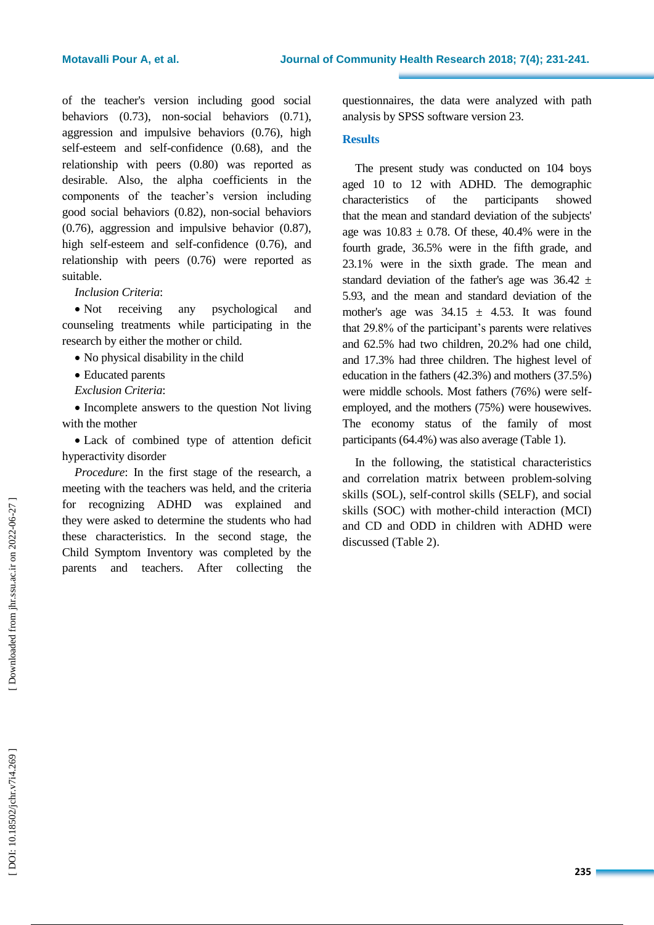of the teacher's version including good social behaviors (0.73), non -social behaviors (0.71), aggression and impulsive behaviors (0.76), high self-esteem and self-confidence (0.68), and the relationship with peers (0.80) was reported as desirable. Also, the alpha coefficients in the components of the teacher's version including good social behaviors (0.82), non -social behaviors (0.76), aggression and impulsive behavior (0.87), high self-esteem and self-confidence (0.76), and relationship with peers (0.76) were reported as suitable.

## *Inclusion Criteria* :

• Not receiving any psychological and counseling treatments while participating in the research by either the mother or child.

- No physical disability in the child
- Educated parents
- *Exclusion Criteria* :

• Incomplete answers to the question Not living with the mother

 Lack of combined type of attention deficit hyperactivity disorder

*Procedure* : In the first stage of the research, a meeting with the teachers was held , and the criteria for recognizing ADHD was explained and they were asked to determine the students who had these characteristics. In the second stage, the Child Symptom Inventory was completed by the parents and teachers. After collecting the

questionnaires, the data were analyzed with path analysis by SPSS software version 23 .

## **Results**

The present study was conducted on 104 boys aged 10 to 12 with ADHD. The demographic characteristics of the participants showed that the mean and standard deviation of the subjects' age was  $10.83 \pm 0.78$ . Of these, 40.4% were in the fourth grade, 36.5% were in the fifth grade, and 23.1% were in the sixth grade. The mean and standard deviation of the father's age was  $36.42 \pm$ 5.93, and the mean and standard deviation of the mother's age was  $34.15 \pm 4.53$ . It was found that 29.8% of the participant's parents were relatives and 62.5% had two children, 20.2% had one child, and 17.3% had three children. The highest level of education in the fathers (42.3%) and mothers (37.5%) were middle schools. Most fathers (76%) were selfemployed, and the mothers (75%) were housewives. The economy status of the family of most participants (64.4%) was also average (Table 1).

In the following, the statistical characteristics and correlation matrix between problem -solving skills (SOL), self-control skills (SEL F ), and social skills (SOC) with mother -child interaction (MCI ) and CD and ODD in children with ADHD were discussed (Table 2).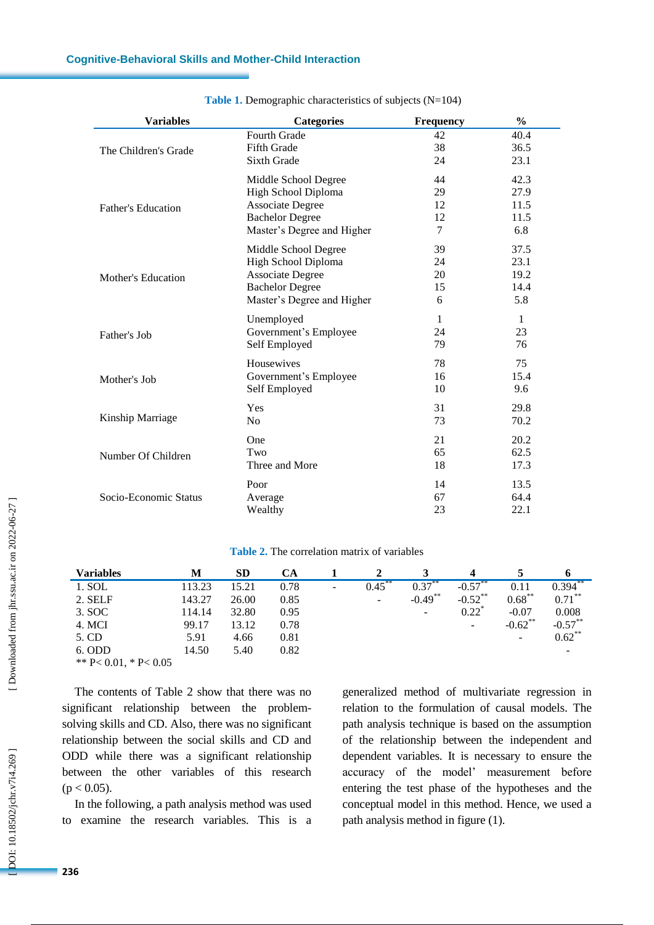| <b>Variables</b>          | <b>Categories</b>          | <b>Frequency</b> | $\frac{0}{0}$ |
|---------------------------|----------------------------|------------------|---------------|
|                           | <b>Fourth Grade</b>        | 42               | 40.4          |
| The Children's Grade      | Fifth Grade                | 38               | 36.5          |
|                           | Sixth Grade                | 24               | 23.1          |
|                           | Middle School Degree       | 44               | 42.3          |
|                           | High School Diploma        | 29               | 27.9          |
| <b>Father's Education</b> | <b>Associate Degree</b>    | 12               | 11.5          |
|                           | <b>Bachelor Degree</b>     | 12               | 11.5          |
|                           | Master's Degree and Higher | 7                | 6.8           |
|                           | Middle School Degree       | 39               | 37.5          |
|                           | High School Diploma        | 24               | 23.1          |
| <b>Mother's Education</b> | <b>Associate Degree</b>    | 20               | 19.2          |
|                           | <b>Bachelor Degree</b>     | 15               | 14.4          |
|                           | Master's Degree and Higher | 6                | 5.8           |
|                           | Unemployed                 | 1                | 1             |
| Father's Job              | Government's Employee      | 24               | 23            |
|                           | Self Employed              | 79               | 76            |
|                           | Housewives                 | 78               | 75            |
| Mother's Job              | Government's Employee      | 16               | 15.4          |
|                           | Self Employed              | 10               | 9.6           |
|                           | Yes                        | 31               | 29.8          |
| Kinship Marriage          | N <sub>o</sub>             | 73               | 70.2          |
|                           | One                        | 21               | 20.2          |
| Number Of Children        | Two                        | 65               | 62.5          |
|                           | Three and More             | 18               | 17.3          |
|                           | Poor                       | 14               | 13.5          |
| Socio-Economic Status     | Average                    | 67               | 64.4          |
|                           | Wealthy                    | 23               | 22.1          |

### Table 1. Demographic characteristics of subjects (N=104)

### **Table 2 .** The correlation matrix of variables

| <b>Variables</b>      | М      | SD    | CА   |   |           |            |                     |                          |            |
|-----------------------|--------|-------|------|---|-----------|------------|---------------------|--------------------------|------------|
| 1. SOL                | 113.23 | 15.21 | 0.78 | - | $0.45***$ | $0.37***$  | $-0.57***$          | 0.11                     | $0.394***$ |
| 2. SELF               | 143.27 | 26.00 | 0.85 |   | -         | $-0.49$ ** | $-0.52$ **          | $0.68***$                | $0.71***$  |
| 3. SOC                | 114.14 | 32.80 | 0.95 |   |           | -          | $0.22$ <sup>*</sup> | $-0.07$                  | 0.008      |
| 4. MCI                | 99.17  | 13.12 | 0.78 |   |           |            | -                   | $-0.62$ **               | $-0.57***$ |
| 5. CD                 | 5.91   | 4.66  | 0.81 |   |           |            |                     | $\overline{\phantom{a}}$ | $0.62***$  |
| 6. ODD                | 14.50  | 5.40  | 0.82 |   |           |            |                     |                          | -          |
| ** P< 0.01, * P< 0.05 |        |       |      |   |           |            |                     |                          |            |

The contents of Table 2 show that there was no significant relationship between the problem solving skills and CD. Also, there was no significant relationship between the social skills and CD and ODD while there was a significant relationship between the other variables of this research  $(p < 0.05)$ .

In the following, a path analysis method was used to examine the research variables. This is a generalized method of multivariate regression in relation to the formulation of causal models. The path analysis technique is based on the assumption of the relationship between the independent and dependent variables. It is necessary to ensure the accuracy of the model' measurement before entering the test phase of the hypotheses and the conceptual model in this method. Hence, we used a path analysis method in figure (1).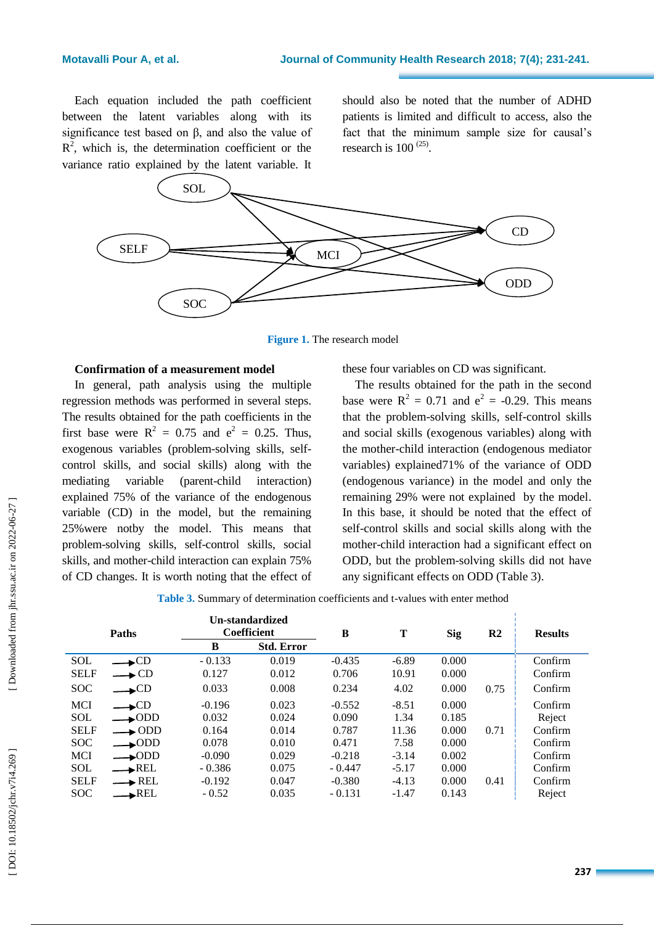Each equation included the path coefficient between the latent variables along with its significance test based on  $\beta$ , and also the value of  $R^2$ , which is, the determination coefficient or the variance ratio explained by the latent variable. It

should also be noted that the number of ADHD patients is limited and difficult to access, also the fact that the minimum sample size for causal's research is  $100^{(25)}$ .



Figure 1. The research model

## **Confirmation of a measurement model**

In general, path analysis using the multiple regression methods was performed in several steps. The results obtained for the path coefficients in the first base were  $R^2 = 0.75$  and  $e^2 = 0.25$ . Thus, exogenous variables (problem -solving skills, selfcontrol skills, and social skills) along with the mediating variable (parent interaction) explained 75% of the variance of the endogenous variable (CD) in the model, but the remaining 25%were notby the model. This means that problem -solving skills, self-control skills, social skills, and mother -child interaction can explain 75% of CD changes. It is worth noting that the effect of

these four variables on CD was significant.

The results obtained for the path in the second base were  $R^2 = 0.71$  and  $e^2 = -0.29$ . This means that the problem -solving skills, self -control skills and social skills (exogenous variables) along with the mother -child interaction (endogenous mediator variables) explained71% of the variance of ODD (endogenous variance) in the model and only the remaining 29% were not explained by the model. In this base, it should be noted that the effect of self-control skills and social skills along with the mother -child interaction had a significant effect on ODD, but the problem - solving skills did not have any significant effects on ODD (Table 3).

Table 3. Summary of determination coefficients and t-values with enter method

| <b>Paths</b> |                       |          | Un-standardized<br><b>Coefficient</b> |          | Т       | <b>Sig</b> | R <sub>2</sub> | <b>Results</b> |
|--------------|-----------------------|----------|---------------------------------------|----------|---------|------------|----------------|----------------|
|              |                       | B        | <b>Std. Error</b>                     |          |         |            |                |                |
| <b>SOL</b>   | $\longrightarrow$ CD  | $-0.133$ | 0.019                                 | $-0.435$ | $-6.89$ | 0.000      |                | Confirm        |
| <b>SELF</b>  | $\rightarrow$ CD      | 0.127    | 0.012                                 | 0.706    | 10.91   | 0.000      |                | Confirm        |
| <b>SOC</b>   | $\triangle$ CD        | 0.033    | 0.008                                 | 0.234    | 4.02    | 0.000      | 0.75           | Confirm        |
| <b>MCI</b>   | $\triangle$ CD        | $-0.196$ | 0.023                                 | $-0.552$ | $-8.51$ | 0.000      |                | Confirm        |
| <b>SOL</b>   | $\rightarrow$ ODD     | 0.032    | 0.024                                 | 0.090    | 1.34    | 0.185      |                | Reject         |
| <b>SELF</b>  | $\longrightarrow$ ODD | 0.164    | 0.014                                 | 0.787    | 11.36   | 0.000      | 0.71           | Confirm        |
| <b>SOC</b>   | $\longrightarrow$ ODD | 0.078    | 0.010                                 | 0.471    | 7.58    | 0.000      |                | Confirm        |
| <b>MCI</b>   | $\rightarrow$ ODD     | $-0.090$ | 0.029                                 | $-0.218$ | $-3.14$ | 0.002      |                | Confirm        |
| <b>SOL</b>   | $\longrightarrow$ REL | $-0.386$ | 0.075                                 | $-0.447$ | $-5.17$ | 0.000      |                | Confirm        |
| <b>SELF</b>  | $\rightarrow$ REL     | $-0.192$ | 0.047                                 | $-0.380$ | $-4.13$ | 0.000      | 0.41           | Confirm        |
| <b>SOC</b>   | $\rightarrow$ REL     | $-0.52$  | 0.035                                 | $-0.131$ | $-1.47$ | 0.143      |                | Reject         |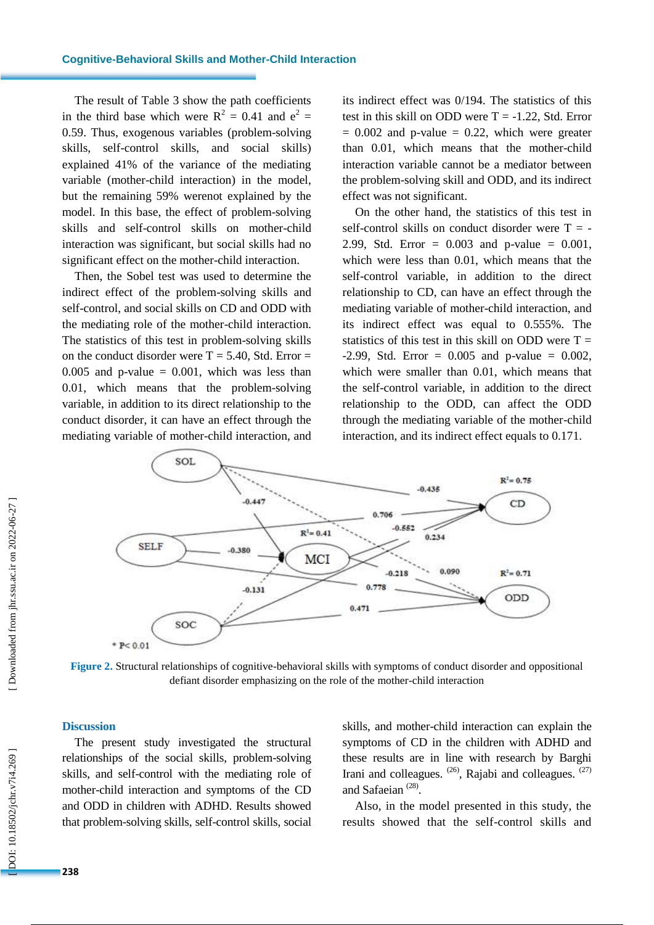The result of Table 3 show the path coefficients in the third base which were  $R^2 = 0.41$  and  $e^2 =$ 0.59. Thus, exogenous variables (problem -solving skills, self-control skills, and social skills) explained 41% of the variance of the mediating variable (mother -child interaction) in the model, but the remaining 59% werenot explained by the model. In this base, the effect of problem -solving skills and self-control skills on mother -child interaction was significant, but social skills had no significant effect on the mother -child interaction.

Then, the Sobel test was used to determine the indirect effect of the problem -solving skills and self-control, and social skills on CD and ODD with the mediating role of the mother -child interaction. The statistics of this test in problem -solving skills on the conduct disorder were  $T = 5.40$ , Std. Error =  $0.005$  and p-value =  $0.001$ , which was less than 0.01, which means that the problem -solving variable, in addition to its direct relationship to the conduct disorder, it can have an effect through the mediating variable of mother -child interaction, and its indirect effect was 0/194. The statistics of this test in this skill on ODD were  $T = -1.22$ , Std. Error  $= 0.002$  and p-value  $= 0.22$ , which were greater than 0.01, which means that the mother -child interaction variable cannot be a mediator between the problem -solving skill and ODD, and its indirect effect was not significant .

On the other hand, the statistics of this test in self-control skills on conduct disorder were  $T = -$ 2.99, Std. Error = 0.003 and p -value = 0.001, which were less than 0.01, which means that the self-control variable, in addition to the direct relationship to CD, can have an effect through the mediating variable of mother -child interaction, and its indirect effect was equal to 0.555%. The statistics of this test in this skill on ODD were  $T = -2.99$ , Std. Error = 0.005 and p-value = 0.002, which were smaller than 0.01, which means that the self-control variable, in addition to the direct relationship to the ODD, can affect the ODD through the mediating variable of the mother -child interaction, and its indirect effect equals to 0.171.



Figure 2. Structural relationships of cognitive-behavioral skills with symptoms of conduct disorder and oppositional defiant disorder emphasizing on the role of the mother - child interaction

## **Discussion**

The present study investigated the structural relationships of the social skills, problem -solving skills, and self-control with the mediating role of mother -child interaction and symptoms of the CD and ODD in children with ADHD. Results showed that problem -solving skills, self-control skills, social

skills, and mother -child interaction can explain the symptoms of CD in the children with ADHD and these results are in line with research by Barghi Irani and colleagues. <sup>(26)</sup>, Rajabi and colleagues. <sup>(27)</sup> and Safaeian<sup>(28)</sup>.

Also, in the model presented in this study, the results showed that the self -control skills and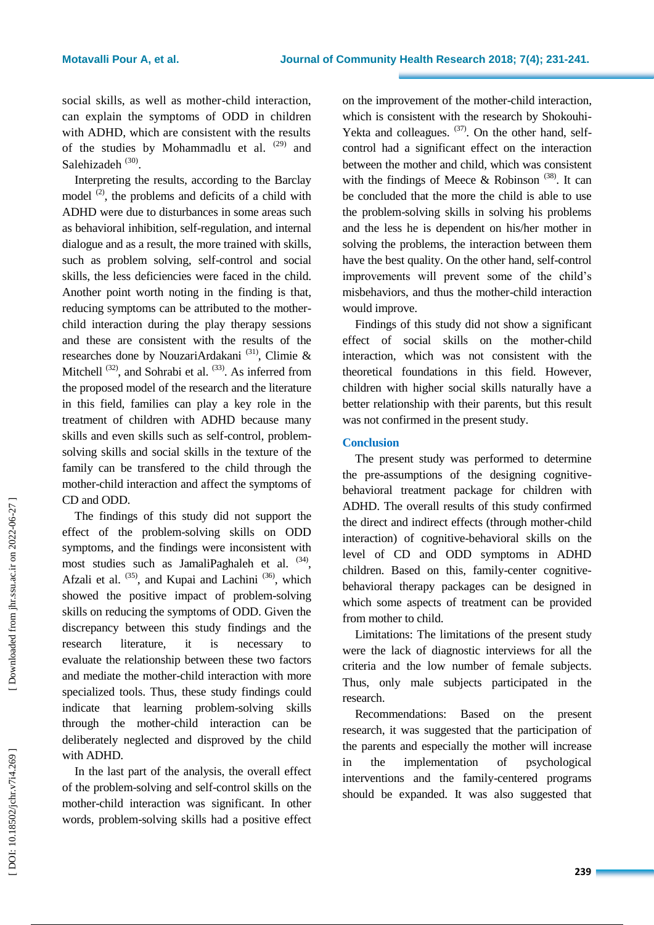social skills, as well as mother -child interaction, can explain the symptoms of ODD in children with ADHD, which are consistent with the results of the studies by Mohammadlu et al.  $(29)$  and Salehizadeh<sup>(30)</sup>.

Interpreting the results, according to the Barclay model  $(2)$ , the problems and deficits of a child with ADHD were due to disturbances in some areas such as behavioral inhibition, self-regulation, and internal dialogue and as a result, the more trained with skills, such as problem solving, self-control and social skills, the less deficiencies were faced in the child. Another point worth noting in the finding is that, reducing symptoms can be attributed to the mother child interaction during the play therapy sessions and these are consistent with the results of the researches done by NouzariArdakani<sup>(31)</sup>, Climie  $\&$ Mitchell  $^{(32)}$ , and Sohrabi et al.  $^{(33)}$ . As inferred from the proposed model of the research and the literature in this field, families can play a key role in the treatment of children with ADHD because many skills and even skills such as self-control, problem solving skills and social skills in the texture of the family can be transfered to the child through the mother -child interaction and affect the symptoms of CD and ODD.

The findings of this study did not support the effect of the problem -solving skills on ODD symptoms, and the findings were inconsistent with most studies such as JamaliPaghaleh et al. <sup>(34)</sup>, Afzali et al. <sup>(35)</sup>, and Kupai and Lachini<sup>(36)</sup>, which showed the positive impact of problem -solving skills on reducing the symptoms of ODD. Given the discrepancy between this study findings and the research literature, it is necessary to evaluate the relationship between these two factors and mediate the mother -child interaction with more specialized tools. Thus, these study findings could indicate that learning problem -solving skills through the mother -child interaction can be deliberately neglected and disproved by the child with ADHD.

In the last part of the analysis, the overall effect of the problem -solving and self-control skills on the mother -child interaction was significant. In other words, problem -solving skills had a positive effect

on the improvement of the mother -child interaction, which is consistent with the research by Shokouhi - Yekta and colleagues.  $(37)$ . On the other hand, selfcontrol had a significant effect on the interaction between the mother and child, which was consistent with the findings of Meece & Robinson<sup>(38)</sup>. It can be concluded that the more the child is able to use the problem -solving skills in solving his problems and the less he is dependent on his/her mother in solving the problems, the interaction between them have the best quality. On the other hand, self-control improvements will prevent some of the child's misbehaviors, and thus the mother -child interaction would improve.

Findings of this study did not show a significant effect of social skills on the mother -child interaction, which was not consistent with the theoretical foundations in this field. However, children with higher social skills naturally have a better relationship with their parents, but this result was not confirmed in the present study.

## **Conclusion**

The present study was performed to determine the pre -assumptions of the designing cognitive behavioral treatment package for children with ADHD. The overall results of this study confirmed the direct and indirect effects (through mother -child interaction) of cognitive -behavioral skills on the level of CD and ODD symptoms in ADHD children. Based on this, family -center cognitive behavioral therapy packages can be designed in which some aspects of treatment can be provided from mother to child.

Limitations: The limitations of the present study were the lack of diagnostic interviews for all the criteria and the low number of female subjects. Thus, only male subjects participated in the research.

Recommendations: Based on the present research, it was suggested that the participation of the parents and especially the mother will increase in the implementation of psychological interventions and the family -centered programs should be expanded. It was also suggested that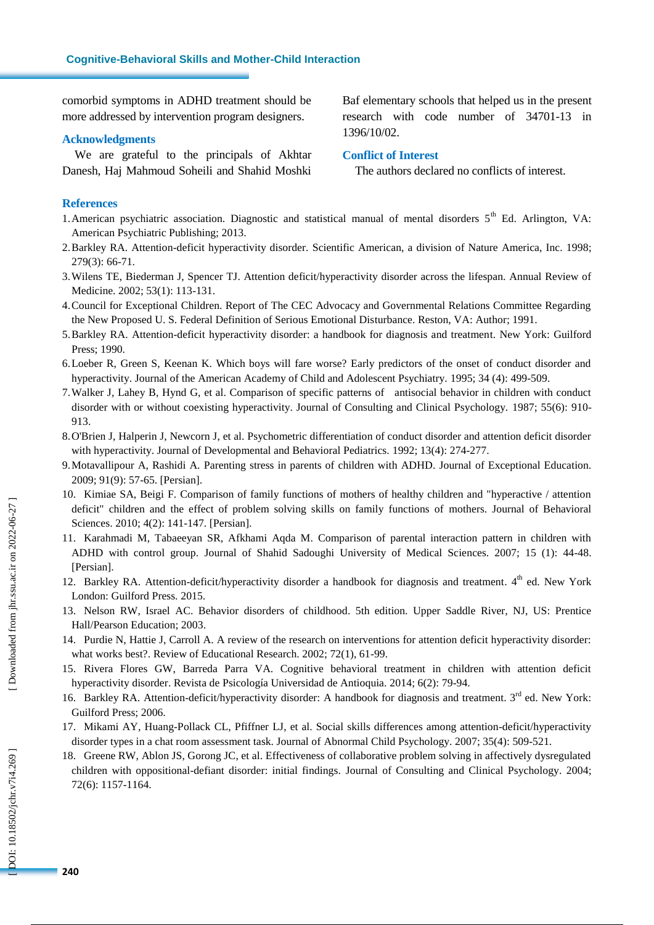comorbid symptoms in ADHD treatment should be more addressed by intervention program designers .

## **Acknowledgments**

We are grateful to the princip als of Akhtar Danesh, Haj Mahmoud Soheili and Shahid Moshki Baf elementary school s that helped us in the present research with code number of 34701 -13 in 1396/10/02 .

## **Conflict of Interest**

The authors declared no conflicts of interest.

## **References**

- 1. American psychiatric association. Diagnostic and statistical manual of mental disorders 5<sup>th</sup> Ed. Arlington, VA: American Psychiatric Publishing; 2013.
- 2.Barkley RA. Attention -deficit hyperactivity disorder. Scientific American, a division of Nature America, Inc . 1998; 279(3): 66 -71.
- 3.Wilens TE, Biederman J, Spencer TJ. Attention deficit/hyperactivity disorder across the lifespan. Annual Review of Medicine. 2002; 53(1): 113-131.
- 4.Council for Exceptional Children. Report of The CEC Advocacy and Governmental Relations Committee Regarding the New Proposed U. S. Federal Definition of Serious Emotional Disturbance. Reston, VA: Author; 1991.
- 5.Barkley RA. Attention -deficit hyperactivity disorder: a handbook for diagnosis and treatment. New York: Guilford Press; 1990.
- 6.Loeber R, Green S, Keenan K. Which boys will fare worse? Early predictors of the onset of conduct disorder and hyperactivity. Journal of the American Academy of Child and Adolescent Psychiatry. 1995; 34 (4): 499 -509.
- 7.Walker J, Lahey B, Hynd G, et al. Comparison of specific patterns of antisocial behavior in children with conduct disorder with or without coexisting hyperactivity. Journal of Consulting and Clinical Psychology. 1987; 55(6): 910 - 913.
- 8.O'Brien J, Halperin J, Newcorn J, et al. Psychometric differentiation of conduct disorder and attention deficit disorder with hyperactivity. Journal of Developmental and Behavioral Pediatrics. 1992; 13(4): 274-277.
- 9.Motavallipour A, Rashidi A. Parenting stress in parents of children with ADHD. Journal of Exceptional Education. 2009; 91(9): 57 -65. [Persian].
- 10. Kimiae SA, Beigi F. Comparison of family functions of mothers of healthy children and "hyperactive / attention deficit" children and the effect of problem solving skills on family functions of mothers. Journal of Behavioral Sciences. 2010; 4(2): 141-147. [Persian].
- 11. Karahmadi M, Tabaeeyan SR, Afkhami Aqda M. Comparison of parental interaction pattern in children with ADHD with control group. Journal of Shahid Sadoughi University of Medical Sciences. 2007; 15 (1): 44 -48. [Persian].
- 12. Barkley RA. Attention-deficit/hyperactivity disorder a handbook for diagnosis and treatment. 4<sup>th</sup> ed. New York London: Guilford Press. 2015.
- 13. Nelson RW, Israel AC. Behavior disorders of childhood. 5th edition. Upper Saddle River, NJ, US: Prentice Hall/Pearson Education; 2003.
- 14. Purdie N, Hattie J, Carroll A. A review of the research on interventions for attention deficit hyperactivity disorder: what works best? . Review of Educational Research. 2002; 72(1), 61 -99.
- 15. Rivera Flores GW, Barreda Parra VA. Cognitive behavioral treatment in children with attention deficit hyperactivity disorder. Revista de Psicología Universidad de Antioquia. 2014; 6(2): 79 -94.
- 16. Barkley RA. Attention-deficit/hyperactivity disorder: A handbook for diagnosis and treatment. 3<sup>rd</sup> ed. New York: Guilford Press; 2006.
- 17. Mikami AY, Huang -Pollack C L, Pfiffner LJ, et al. Social skills differences among attention -deficit/hyperactivity disorder types in a chat room assessment task. Journal of Abnormal Child Psychology. 2007; 35(4): 509 -521.
- 18. Greene RW, Ablon JS, Gorong JC, et al. Effectiveness of collaborative problem solving in affectively dysregulated children with oppositional -defiant disorder: initial findings. Journal of Consulting and Clinical Psychology. 200 4; 72 ( 6): 1157 -1164.